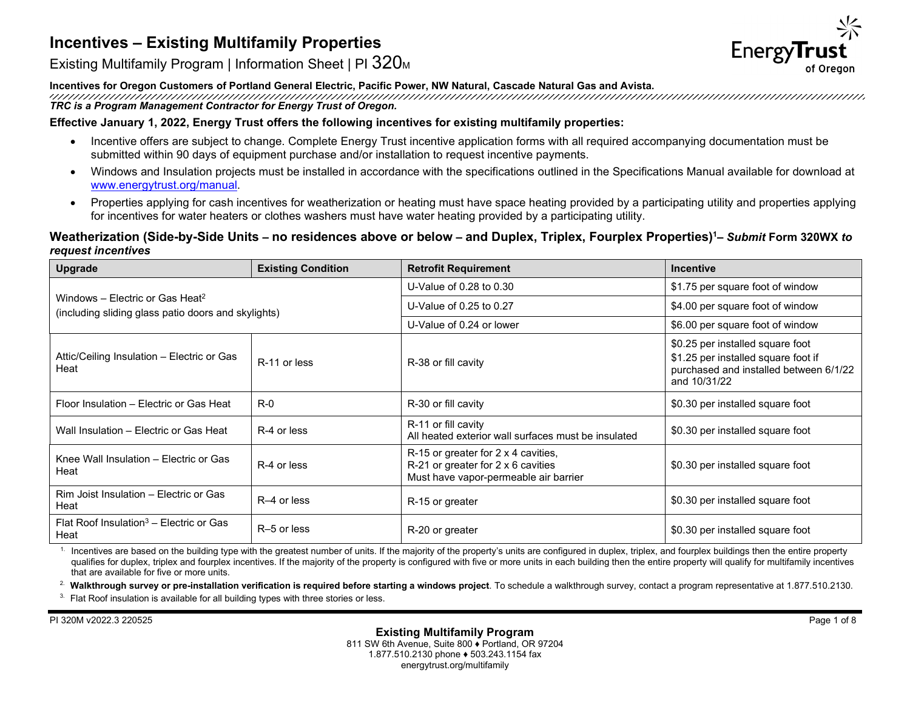

Existing Multifamily Program | Information Sheet | PI 320<sub>M</sub>

#### **Incentives for Oregon Customers of Portland General Electric, Pacific Power, NW Natural, Cascade Natural Gas and Avista.**

*TRC is a Program Management Contractor for Energy Trust of Oregon.*

## **Effective January 1, 2022, Energy Trust offers the following incentives for existing multifamily properties:**

- Incentive offers are subject to change. Complete Energy Trust incentive application forms with all required accompanying documentation must be submitted within 90 days of equipment purchase and/or installation to request incentive payments.
- Windows and Insulation projects must be installed in accordance with the specifications outlined in the Specifications Manual available for download at [www.energytrust.org/manual.](http://www.energytrust.org/manual)
- Properties applying for cash incentives for weatherization or heating must have space heating provided by a participating utility and properties applying for incentives for water heaters or clothes washers must have water heating provided by a participating utility.

# **Weatherization (Side-by-Side Units** *–* **no residences above or below** *–* **and Duplex, Triplex, Fourplex Properties)1***– Submit* **Form 320WX** *to request incentives*

| <b>Upgrade</b>                                                                                     | <b>Existing Condition</b> | <b>Retrofit Requirement</b>                                                                                        | <b>Incentive</b>                                                                                                                  |
|----------------------------------------------------------------------------------------------------|---------------------------|--------------------------------------------------------------------------------------------------------------------|-----------------------------------------------------------------------------------------------------------------------------------|
| Windows – Electric or Gas Heat <sup>2</sup><br>(including sliding glass patio doors and skylights) |                           | U-Value of 0.28 to 0.30                                                                                            | \$1.75 per square foot of window                                                                                                  |
|                                                                                                    |                           | U-Value of 0.25 to 0.27                                                                                            | \$4.00 per square foot of window                                                                                                  |
|                                                                                                    |                           | U-Value of 0.24 or lower                                                                                           | \$6.00 per square foot of window                                                                                                  |
| Attic/Ceiling Insulation – Electric or Gas<br>Heat                                                 | R-11 or less              | R-38 or fill cavity                                                                                                | \$0.25 per installed square foot<br>\$1.25 per installed square foot if<br>purchased and installed between 6/1/22<br>and 10/31/22 |
| Floor Insulation - Electric or Gas Heat                                                            | $R-0$                     | R-30 or fill cavity                                                                                                | \$0.30 per installed square foot                                                                                                  |
| Wall Insulation - Electric or Gas Heat                                                             | R-4 or less               | R-11 or fill cavity<br>All heated exterior wall surfaces must be insulated                                         | \$0.30 per installed square foot                                                                                                  |
| Knee Wall Insulation - Electric or Gas<br>Heat                                                     | R-4 or less               | R-15 or greater for 2 x 4 cavities,<br>R-21 or greater for 2 x 6 cavities<br>Must have vapor-permeable air barrier | \$0.30 per installed square foot                                                                                                  |
| Rim Joist Insulation - Electric or Gas<br>Heat                                                     | R-4 or less               | R-15 or greater                                                                                                    | \$0.30 per installed square foot                                                                                                  |
| Flat Roof Insulation <sup>3</sup> – Electric or Gas<br>Heat                                        | R-5 or less               | R-20 or greater                                                                                                    | \$0.30 per installed square foot                                                                                                  |

 $1$ . Incentives are based on the building type with the greatest number of units. If the majority of the property's units are configured in duplex, triplex, and fourplex buildings then the entire property qualifies for duplex, triplex and fourplex incentives. If the majority of the property is configured with five or more units in each building then the entire property will qualify for multifamily incentives that are available for five or more units.

<sup>2</sup> Walkthrough survey or pre-installation verification is required before starting a windows project. To schedule a walkthrough survey, contact a program representative at 1.877.510.2130.

<sup>3.</sup> Flat Roof insulation is available for all building types with three stories or less.

PI 320M v2022.3 220525 Page 1 of 8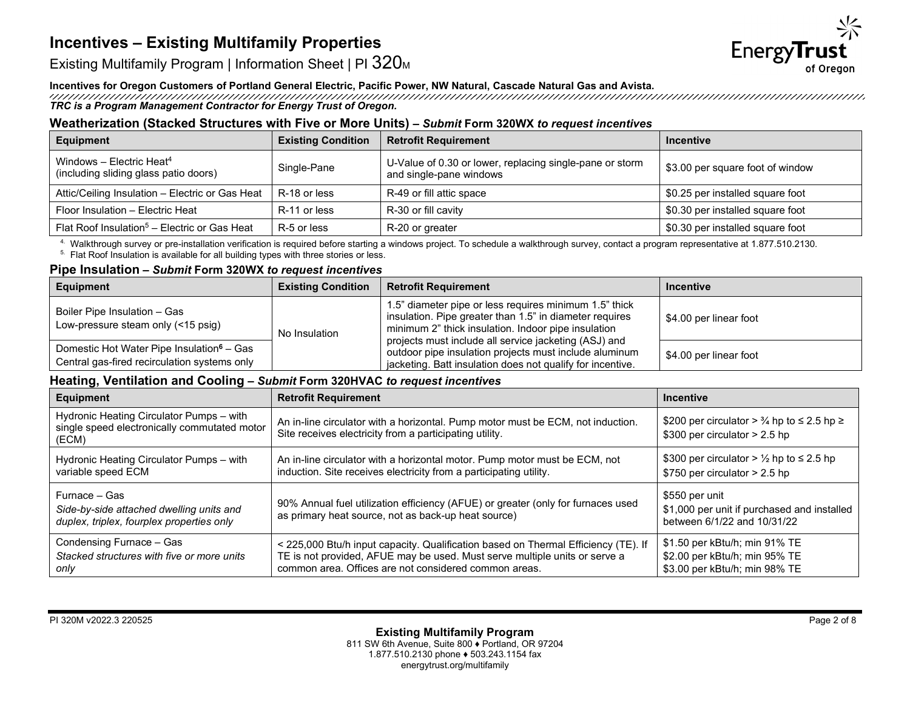

Existing Multifamily Program | Information Sheet | PI 320<sub>M</sub>

# **Incentives for Oregon Customers of Portland General Electric, Pacific Power, NW Natural, Cascade Natural Gas and Avista.**

*TRC is a Program Management Contractor for Energy Trust of Oregon.*

# **Weatherization (Stacked Structures with Five or More Units)** *– Submit* **Form 320WX** *to request incentives*

| Equipment                                                                     | <b>Existing Condition</b> | <b>Retrofit Requirement</b>                                                         | <b>Incentive</b>                 |
|-------------------------------------------------------------------------------|---------------------------|-------------------------------------------------------------------------------------|----------------------------------|
| Windows - Electric Heat <sup>4</sup><br>(including sliding glass patio doors) | Single-Pane               | U-Value of 0.30 or lower, replacing single-pane or storm<br>and single-pane windows | \$3.00 per square foot of window |
| Attic/Ceiling Insulation - Electric or Gas Heat                               | R-18 or less              | R-49 or fill attic space                                                            | \$0.25 per installed square foot |
| Floor Insulation - Electric Heat                                              | R-11 or less              | R-30 or fill cavity                                                                 | \$0.30 per installed square foot |
| Flat Roof Insulation <sup>5</sup> - Electric or Gas Heat                      | R-5 or less               | R-20 or greater                                                                     | \$0.30 per installed square foot |

<sup>4.</sup> Walkthrough survey or pre-installation verification is required before starting a windows project. To schedule a walkthrough survey, contact a program representative at 1.877.510.2130.<br><sup>5.</sup> Flat Roof Insulation is ava

## **Pipe Insulation** *– Submit* **Form 320WX** *to request incentives*

| <b>Equipment</b>                                                                                      | <b>Existing Condition</b> | <b>Retrofit Requirement</b>                                                                                                                                                                                                                                                                                                                               | Incentive              |
|-------------------------------------------------------------------------------------------------------|---------------------------|-----------------------------------------------------------------------------------------------------------------------------------------------------------------------------------------------------------------------------------------------------------------------------------------------------------------------------------------------------------|------------------------|
| Boiler Pipe Insulation - Gas<br>Low-pressure steam only (<15 psig)                                    | No Insulation             | 1.5" diameter pipe or less requires minimum 1.5" thick<br>insulation. Pipe greater than 1.5" in diameter requires<br>minimum 2" thick insulation. Indoor pipe insulation<br>projects must include all service jacketing (ASJ) and<br>outdoor pipe insulation projects must include aluminum<br>jacketing. Batt insulation does not qualify for incentive. | \$4.00 per linear foot |
| Domestic Hot Water Pipe Insulation <sup>6</sup> – Gas<br>Central gas-fired recirculation systems only |                           |                                                                                                                                                                                                                                                                                                                                                           | \$4.00 per linear foot |

### **Heating, Ventilation and Cooling** *– Submit* **Form 320HVAC** *to request incentives*

| Equipment                                                                                              | <b>Retrofit Requirement</b>                                                                                                                                                                                               | <b>Incentive</b>                                                                                  |
|--------------------------------------------------------------------------------------------------------|---------------------------------------------------------------------------------------------------------------------------------------------------------------------------------------------------------------------------|---------------------------------------------------------------------------------------------------|
| Hydronic Heating Circulator Pumps - with<br>single speed electronically commutated motor<br>(ECM)      | An in-line circulator with a horizontal. Pump motor must be ECM, not induction.<br>Site receives electricity from a participating utility.                                                                                | \$200 per circulator > $\frac{3}{4}$ hp to $\leq$ 2.5 hp $\geq$<br>$$300$ per circulator > 2.5 hp |
| Hydronic Heating Circulator Pumps - with<br>variable speed ECM                                         | An in-line circulator with a horizontal motor. Pump motor must be ECM, not<br>induction. Site receives electricity from a participating utility.                                                                          | \$300 per circulator > $\frac{1}{2}$ hp to $\leq$ 2.5 hp<br>$$750$ per circulator $> 2.5$ hp      |
| Furnace - Gas<br>Side-by-side attached dwelling units and<br>duplex, triplex, fourplex properties only | 90% Annual fuel utilization efficiency (AFUE) or greater (only for furnaces used<br>as primary heat source, not as back-up heat source)                                                                                   | \$550 per unit<br>\$1,000 per unit if purchased and installed<br>between 6/1/22 and 10/31/22      |
| Condensing Furnace - Gas<br>Stacked structures with five or more units<br>only                         | < 225,000 Btu/h input capacity. Qualification based on Thermal Efficiency (TE). If<br>TE is not provided, AFUE may be used. Must serve multiple units or serve a<br>common area. Offices are not considered common areas. | \$1.50 per kBtu/h; min 91% TE<br>\$2.00 per kBtu/h; min 95% TE<br>\$3.00 per kBtu/h; min 98% TE   |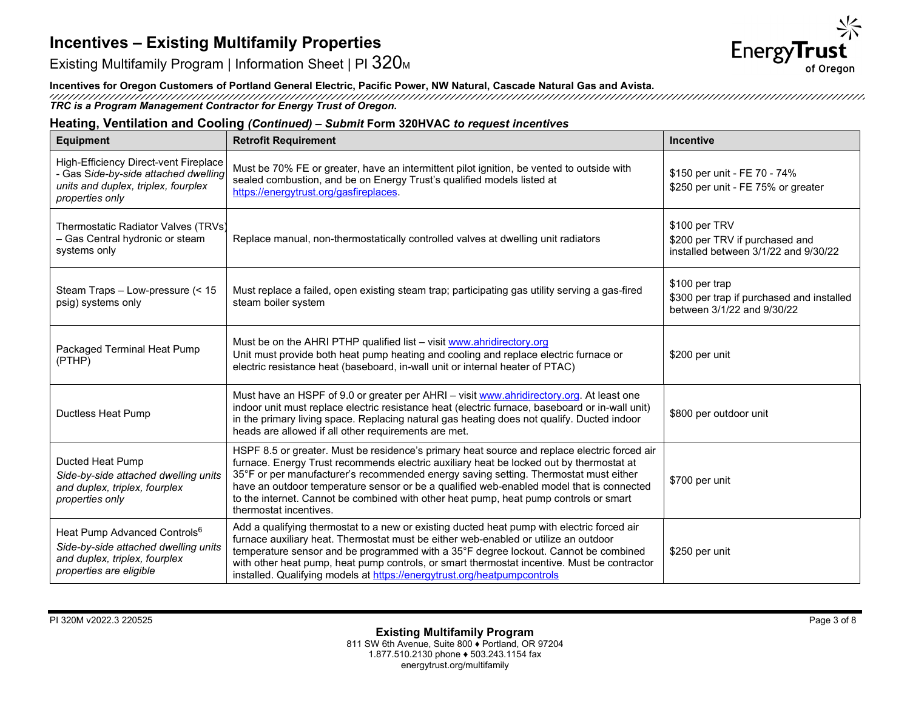



### **Incentives for Oregon Customers of Portland General Electric, Pacific Power, NW Natural, Cascade Natural Gas and Avista.**

*TRC is a Program Management Contractor for Energy Trust of Oregon.*

#### **Heating, Ventilation and Cooling** *(Continued) – Submit* **Form 320HVAC** *to request incentives*

| <b>Equipment</b>                                                                                                                             | <b>Retrofit Requirement</b>                                                                                                                                                                                                                                                                                                                                                                                                                                                                    | <b>Incentive</b>                                                                          |
|----------------------------------------------------------------------------------------------------------------------------------------------|------------------------------------------------------------------------------------------------------------------------------------------------------------------------------------------------------------------------------------------------------------------------------------------------------------------------------------------------------------------------------------------------------------------------------------------------------------------------------------------------|-------------------------------------------------------------------------------------------|
| High-Efficiency Direct-vent Fireplace<br>- Gas Side-by-side attached dwelling<br>units and duplex, triplex, fourplex<br>properties only      | Must be 70% FE or greater, have an intermittent pilot ignition, be vented to outside with<br>sealed combustion, and be on Energy Trust's qualified models listed at<br>https://energytrust.org/gasfireplaces.                                                                                                                                                                                                                                                                                  | \$150 per unit - FE 70 - 74%<br>\$250 per unit - FE 75% or greater                        |
| Thermostatic Radiator Valves (TRVs)<br>- Gas Central hydronic or steam<br>systems only                                                       | Replace manual, non-thermostatically controlled valves at dwelling unit radiators                                                                                                                                                                                                                                                                                                                                                                                                              | \$100 per TRV<br>\$200 per TRV if purchased and<br>installed between 3/1/22 and 9/30/22   |
| Steam Traps - Low-pressure (< 15<br>psig) systems only                                                                                       | Must replace a failed, open existing steam trap; participating gas utility serving a gas-fired<br>steam boiler system                                                                                                                                                                                                                                                                                                                                                                          | \$100 per trap<br>\$300 per trap if purchased and installed<br>between 3/1/22 and 9/30/22 |
| Packaged Terminal Heat Pump<br>(PTHP)                                                                                                        | Must be on the AHRI PTHP qualified list - visit www.ahridirectory.org<br>Unit must provide both heat pump heating and cooling and replace electric furnace or<br>electric resistance heat (baseboard, in-wall unit or internal heater of PTAC)                                                                                                                                                                                                                                                 | \$200 per unit                                                                            |
| Ductless Heat Pump                                                                                                                           | Must have an HSPF of 9.0 or greater per AHRI - visit www.ahridirectory.org. At least one<br>indoor unit must replace electric resistance heat (electric furnace, baseboard or in-wall unit)<br>in the primary living space. Replacing natural gas heating does not qualify. Ducted indoor<br>heads are allowed if all other requirements are met.                                                                                                                                              | \$800 per outdoor unit                                                                    |
| Ducted Heat Pump<br>Side-by-side attached dwelling units<br>and duplex, triplex, fourplex<br>properties only                                 | HSPF 8.5 or greater. Must be residence's primary heat source and replace electric forced air<br>furnace. Energy Trust recommends electric auxiliary heat be locked out by thermostat at<br>35°F or per manufacturer's recommended energy saving setting. Thermostat must either<br>have an outdoor temperature sensor or be a qualified web-enabled model that is connected<br>to the internet. Cannot be combined with other heat pump, heat pump controls or smart<br>thermostat incentives. | \$700 per unit                                                                            |
| Heat Pump Advanced Controls <sup>6</sup><br>Side-by-side attached dwelling units<br>and duplex, triplex, fourplex<br>properties are eligible | Add a qualifying thermostat to a new or existing ducted heat pump with electric forced air<br>furnace auxiliary heat. Thermostat must be either web-enabled or utilize an outdoor<br>temperature sensor and be programmed with a 35°F degree lockout. Cannot be combined<br>with other heat pump, heat pump controls, or smart thermostat incentive. Must be contractor<br>installed. Qualifying models at https://energytrust.org/heatpumpcontrols                                            | \$250 per unit                                                                            |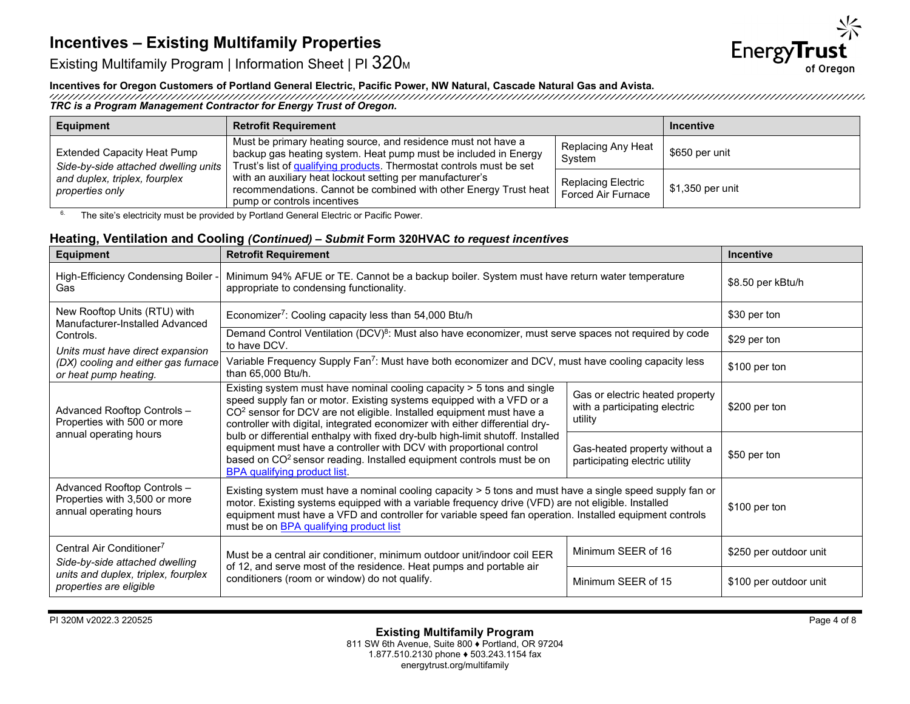

Existing Multifamily Program | Information Sheet | PI 320M

### **Incentives for Oregon Customers of Portland General Electric, Pacific Power, NW Natural, Cascade Natural Gas and Avista.**

*TRC is a Program Management Contractor for Energy Trust of Oregon.*

| <b>Equipment</b>                                                           | <b>Retrofit Requirement</b>                                                                                                                                                                              |                                          | <b>Incentive</b>        |
|----------------------------------------------------------------------------|----------------------------------------------------------------------------------------------------------------------------------------------------------------------------------------------------------|------------------------------------------|-------------------------|
| <b>Extended Capacity Heat Pump</b><br>Side-by-side attached dwelling units | Must be primary heating source, and residence must not have a<br>backup gas heating system. Heat pump must be included in Energy<br>Trust's list of qualifying products. Thermostat controls must be set | Replacing Any Heat<br>System             | \$650 per unit          |
| and duplex, triplex, fourplex<br>properties only                           | with an auxiliary heat lockout setting per manufacturer's<br>recommendations. Cannot be combined with other Energy Trust heat<br>pump or controls incentives                                             | Replacing Electric<br>Forced Air Furnace | $\mid$ \$1,350 per unit |

<sup>6.</sup> The site's electricity must be provided by Portland General Electric or Pacific Power.

## **Heating, Ventilation and Cooling** *(Continued) – Submit* **Form 320HVAC** *to request incentives*

| <b>Equipment</b>                                                                                                                                                                                                                                                                                     | <b>Retrofit Requirement</b>                                                                                                                                                                                                                                                                                                                                         | Incentive                                                                   |                        |
|------------------------------------------------------------------------------------------------------------------------------------------------------------------------------------------------------------------------------------------------------------------------------------------------------|---------------------------------------------------------------------------------------------------------------------------------------------------------------------------------------------------------------------------------------------------------------------------------------------------------------------------------------------------------------------|-----------------------------------------------------------------------------|------------------------|
| High-Efficiency Condensing Boiler -<br>Gas                                                                                                                                                                                                                                                           | Minimum 94% AFUE or TE. Cannot be a backup boiler. System must have return water temperature<br>appropriate to condensing functionality.                                                                                                                                                                                                                            | \$8.50 per kBtu/h                                                           |                        |
| New Rooftop Units (RTU) with<br>Manufacturer-Installed Advanced                                                                                                                                                                                                                                      | Economizer <sup>7</sup> : Cooling capacity less than 54,000 Btu/h                                                                                                                                                                                                                                                                                                   |                                                                             | \$30 per ton           |
| Controls.                                                                                                                                                                                                                                                                                            | Demand Control Ventilation (DCV) <sup>8</sup> : Must also have economizer, must serve spaces not required by code<br>to have DCV.                                                                                                                                                                                                                                   |                                                                             | \$29 per ton           |
| Units must have direct expansion<br>(DX) cooling and either gas furnace<br>or heat pump heating.                                                                                                                                                                                                     | Variable Frequency Supply Fan <sup>7</sup> : Must have both economizer and DCV, must have cooling capacity less<br>than 65,000 Btu/h.                                                                                                                                                                                                                               |                                                                             | \$100 per ton          |
| Advanced Rooftop Controls -<br>Properties with 500 or more                                                                                                                                                                                                                                           | Existing system must have nominal cooling capacity > 5 tons and single<br>speed supply fan or motor. Existing systems equipped with a VFD or a<br>CO <sup>2</sup> sensor for DCV are not eligible. Installed equipment must have a<br>controller with digital, integrated economizer with either differential dry-                                                  | Gas or electric heated property<br>with a participating electric<br>utility | \$200 per ton          |
| annual operating hours<br>bulb or differential enthalpy with fixed dry-bulb high-limit shutoff. Installed<br>equipment must have a controller with DCV with proportional control<br>based on CO <sup>2</sup> sensor reading. Installed equipment controls must be on<br>BPA qualifying product list. |                                                                                                                                                                                                                                                                                                                                                                     | Gas-heated property without a<br>participating electric utility             | \$50 per ton           |
| Advanced Rooftop Controls -<br>Properties with 3,500 or more<br>annual operating hours                                                                                                                                                                                                               | Existing system must have a nominal cooling capacity > 5 tons and must have a single speed supply fan or<br>motor. Existing systems equipped with a variable frequency drive (VFD) are not eligible. Installed<br>equipment must have a VFD and controller for variable speed fan operation. Installed equipment controls<br>must be on BPA qualifying product list |                                                                             | \$100 per ton          |
| Central Air Conditioner <sup>7</sup><br>Side-by-side attached dwelling                                                                                                                                                                                                                               | Must be a central air conditioner, minimum outdoor unit/indoor coil EER                                                                                                                                                                                                                                                                                             | Minimum SEER of 16                                                          | \$250 per outdoor unit |
| units and duplex, triplex, fourplex<br>properties are eligible                                                                                                                                                                                                                                       | of 12, and serve most of the residence. Heat pumps and portable air<br>conditioners (room or window) do not qualify.                                                                                                                                                                                                                                                |                                                                             | \$100 per outdoor unit |

PI 320M v2022.3 220525 Page 4 of 8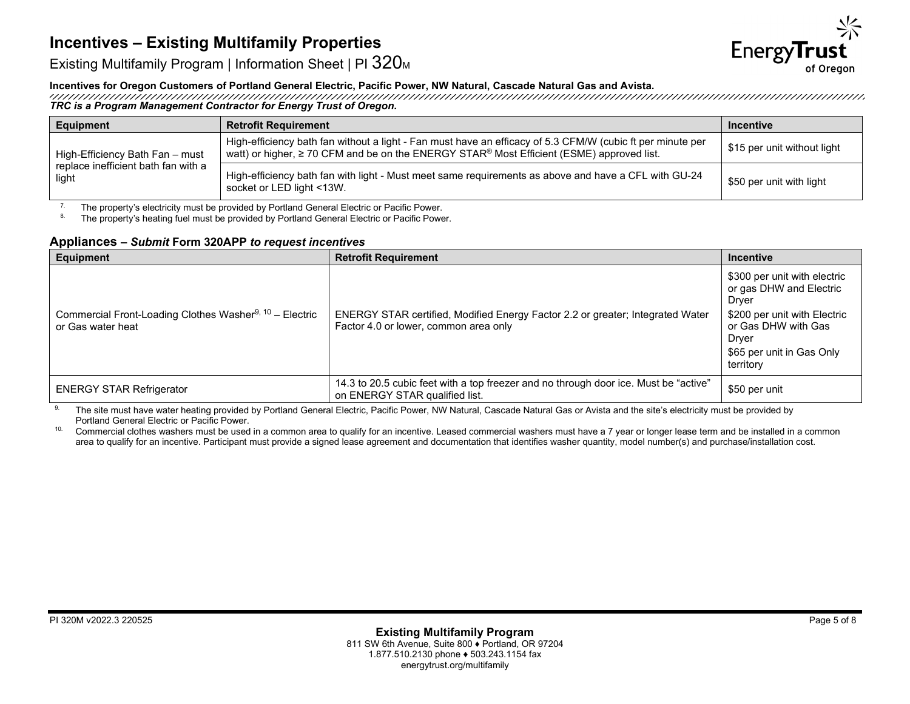

Existing Multifamily Program | Information Sheet | PI 320<sub>M</sub>

# **Incentives for Oregon Customers of Portland General Electric, Pacific Power, NW Natural, Cascade Natural Gas and Avista.**

*TRC is a Program Management Contractor for Energy Trust of Oregon.*

| Equipment                                                                                                                                                                                                                                              | <b>Retrofit Requirement</b>                                                                                                       | <b>Incentive</b>            |
|--------------------------------------------------------------------------------------------------------------------------------------------------------------------------------------------------------------------------------------------------------|-----------------------------------------------------------------------------------------------------------------------------------|-----------------------------|
| High-efficiency bath fan without a light - Fan must have an efficacy of 5.3 CFM/W (cubic ft per minute per<br>watt) or higher, ≥ 70 CFM and be on the ENERGY STAR <sup>®</sup> Most Efficient (ESME) approved list.<br>High-Efficiency Bath Fan – must |                                                                                                                                   | \$15 per unit without light |
| replace inefficient bath fan with a<br>light                                                                                                                                                                                                           | High-efficiency bath fan with light - Must meet same requirements as above and have a CFL with GU-24<br>socket or LED light <13W. | \$50 per unit with light    |

<sup>7.</sup> The property's electricity must be provided by Portland General Electric or Pacific Power.<br><sup>8.</sup> The property's beating fuel must be provided by Portland General Electric or Pacific Power.

The property's heating fuel must be provided by Portland General Electric or Pacific Power.

#### **Appliances** *– Submit* **Form 320APP** *to request incentives*

| Equipment                                                                                | <b>Retrofit Requirement</b>                                                                                             | <b>Incentive</b>                                                                                                                                              |
|------------------------------------------------------------------------------------------|-------------------------------------------------------------------------------------------------------------------------|---------------------------------------------------------------------------------------------------------------------------------------------------------------|
| Commercial Front-Loading Clothes Washer <sup>9, 10</sup> - Electric<br>or Gas water heat | ENERGY STAR certified, Modified Energy Factor 2.2 or greater; Integrated Water<br>Factor 4.0 or lower, common area only | \$300 per unit with electric<br>or gas DHW and Electric<br>Dryer<br>\$200 per unit with Electric<br>or Gas DHW with Gas<br>Dryer<br>\$65 per unit in Gas Only |
|                                                                                          |                                                                                                                         | territory                                                                                                                                                     |
| <b>ENERGY STAR Refrigerator</b>                                                          | 14.3 to 20.5 cubic feet with a top freezer and no through door ice. Must be "active"<br>on ENERGY STAR qualified list.  | \$50 per unit                                                                                                                                                 |

<sup>9.</sup> The site must have water heating provided by Portland General Electric, Pacific Power, NW Natural, Cascade Natural Gas or Avista and the site's electricity must be provided by Portland General Electric or Pacific Power.

<sup>10.</sup> Commercial clothes washers must be used in a common area to qualify for an incentive. Leased commercial washers must have a 7 year or longer lease term and be installed in a common area to qualify for an incentive. Participant must provide a signed lease agreement and documentation that identifies washer quantity, model number(s) and purchase/installation cost.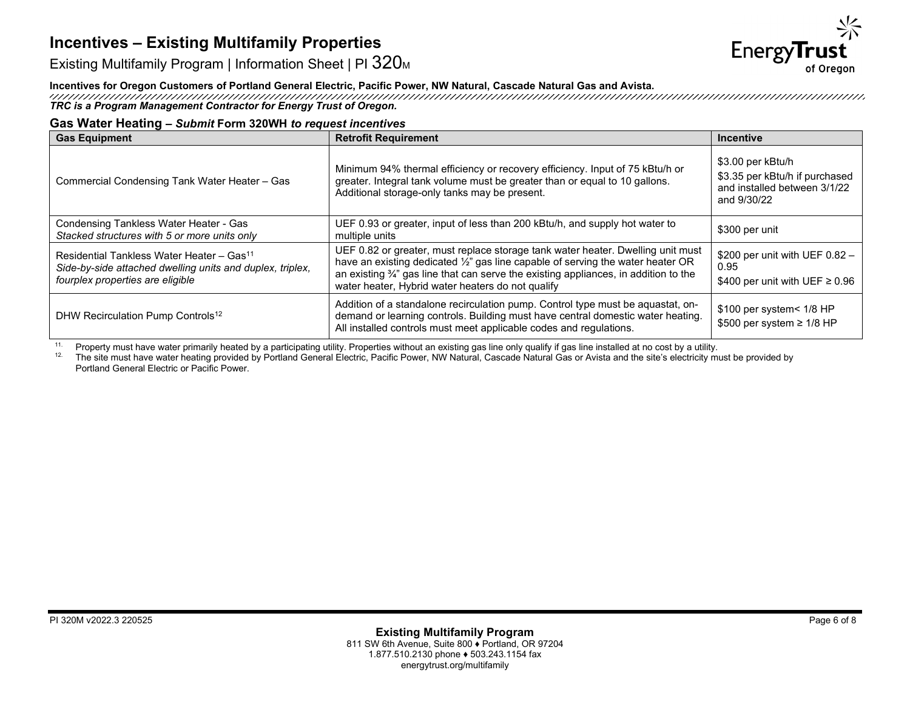

Existing Multifamily Program | Information Sheet | PI 320M

# **Incentives for Oregon Customers of Portland General Electric, Pacific Power, NW Natural, Cascade Natural Gas and Avista.**

*TRC is a Program Management Contractor for Energy Trust of Oregon.*

#### **Gas Water Heating** *– Submit* **Form 320WH** *to request incentives*

| <b>Gas Equipment</b>                                                                                                                                   | <b>Retrofit Requirement</b>                                                                                                                                                                                                                                                                                                | <b>Incentive</b>                                                                                   |
|--------------------------------------------------------------------------------------------------------------------------------------------------------|----------------------------------------------------------------------------------------------------------------------------------------------------------------------------------------------------------------------------------------------------------------------------------------------------------------------------|----------------------------------------------------------------------------------------------------|
| Commercial Condensing Tank Water Heater - Gas                                                                                                          | Minimum 94% thermal efficiency or recovery efficiency. Input of 75 kBtu/h or<br>greater. Integral tank volume must be greater than or equal to 10 gallons.<br>Additional storage-only tanks may be present.                                                                                                                | \$3.00 per kBtu/h<br>\$3.35 per kBtu/h if purchased<br>and installed between 3/1/22<br>and 9/30/22 |
| Condensing Tankless Water Heater - Gas<br>Stacked structures with 5 or more units only                                                                 | UEF 0.93 or greater, input of less than 200 kBtu/h, and supply hot water to<br>multiple units                                                                                                                                                                                                                              | \$300 per unit                                                                                     |
| Residential Tankless Water Heater - Gas <sup>11</sup><br>Side-by-side attached dwelling units and duplex, triplex,<br>fourplex properties are eligible | UEF 0.82 or greater, must replace storage tank water heater. Dwelling unit must<br>have an existing dedicated 1/2" gas line capable of serving the water heater OR<br>an existing $\frac{3}{4}$ " gas line that can serve the existing appliances, in addition to the<br>water heater, Hybrid water heaters do not qualify | \$200 per unit with UEF $0.82 -$<br>0.95<br>\$400 per unit with UEF $\geq$ 0.96                    |
| DHW Recirculation Pump Controls <sup>12</sup>                                                                                                          | Addition of a standalone recirculation pump. Control type must be aquastat, on-<br>demand or learning controls. Building must have central domestic water heating.<br>All installed controls must meet applicable codes and regulations.                                                                                   | \$100 per system< 1/8 HP<br>\$500 per system $\geq$ 1/8 HP                                         |

<sup>11.</sup> Property must have water primarily heated by a participating utility. Properties without an existing gas line only qualify if gas line installed at no cost by a utility.<br><sup>12.</sup> The site must have water heating provid

The site must have water heating provided by Portland General Electric, Pacific Power, NW Natural, Cascade Natural Gas or Avista and the site's electricity must be provided by Portland General Electric or Pacific Power.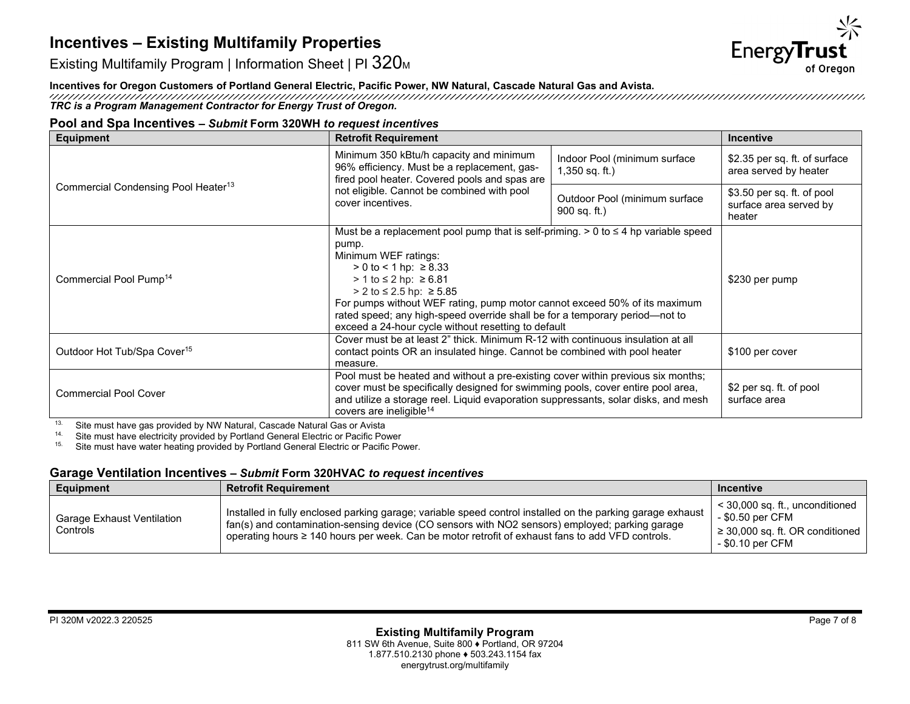

Existing Multifamily Program | Information Sheet | PI 320M

**Incentives for Oregon Customers of Portland General Electric, Pacific Power, NW Natural, Cascade Natural Gas and Avista.**

*TRC is a Program Management Contractor for Energy Trust of Oregon.*

## **Pool and Spa Incentives** *– Submit* **Form 320WH** *to request incentives*

| <b>Equipment</b>                                | <b>Retrofit Requirement</b>                                                                                                                                                                                                                                                                                                                                                                                                         |                                                  | <b>Incentive</b>                                               |
|-------------------------------------------------|-------------------------------------------------------------------------------------------------------------------------------------------------------------------------------------------------------------------------------------------------------------------------------------------------------------------------------------------------------------------------------------------------------------------------------------|--------------------------------------------------|----------------------------------------------------------------|
| Commercial Condensing Pool Heater <sup>13</sup> | Minimum 350 kBtu/h capacity and minimum<br>96% efficiency. Must be a replacement, gas-<br>fired pool heater. Covered pools and spas are                                                                                                                                                                                                                                                                                             | Indoor Pool (minimum surface<br>$1,350$ sq. ft.) | \$2.35 per sq. ft. of surface<br>area served by heater         |
|                                                 | not eligible. Cannot be combined with pool<br>cover incentives.                                                                                                                                                                                                                                                                                                                                                                     | Outdoor Pool (minimum surface<br>$900$ sq. ft.)  | \$3.50 per sq. ft. of pool<br>surface area served by<br>heater |
| Commercial Pool Pump <sup>14</sup>              | Must be a replacement pool pump that is self-priming. $> 0$ to $\leq 4$ hp variable speed<br>pump.<br>Minimum WEF ratings:<br>$> 0$ to < 1 hp: $\geq 8.33$<br>> 1 to ≤ 2 hp: ≥ 6.81<br>> 2 to ≤ 2.5 hp: $≥ 5.85$<br>For pumps without WEF rating, pump motor cannot exceed 50% of its maximum<br>rated speed; any high-speed override shall be for a temporary period-not to<br>exceed a 24-hour cycle without resetting to default |                                                  | \$230 per pump                                                 |
| Outdoor Hot Tub/Spa Cover <sup>15</sup>         | Cover must be at least 2" thick. Minimum R-12 with continuous insulation at all<br>contact points OR an insulated hinge. Cannot be combined with pool heater<br>measure.                                                                                                                                                                                                                                                            |                                                  | \$100 per cover                                                |
| <b>Commercial Pool Cover</b>                    | Pool must be heated and without a pre-existing cover within previous six months;<br>cover must be specifically designed for swimming pools, cover entire pool area,<br>and utilize a storage reel. Liquid evaporation suppressants, solar disks, and mesh<br>covers are ineligible <sup>14</sup>                                                                                                                                    |                                                  | \$2 per sq. ft. of pool<br>surface area                        |

<sup>13.</sup> Site must have gas provided by NW Natural, Cascade Natural Gas or Avista<br><sup>14.</sup> Site must have electricity provided by Portland General Electric or Pacific Po

<sup>14.</sup> Site must have electricity provided by Portland General Electric or Pacific Power<br><sup>15.</sup> Site must have water beating provided by Portland General Electric or Pacific Po

Site must have water heating provided by Portland General Electric or Pacific Power.

## **Garage Ventilation Incentives** *– Submit* **Form 320HVAC** *to request incentives*

| <b>Equipment</b>                       | <b>Retrofit Requirement</b>                                                                                                                                                                                                                                                                                      | <b>Incentive</b>                                                                                                  |
|----------------------------------------|------------------------------------------------------------------------------------------------------------------------------------------------------------------------------------------------------------------------------------------------------------------------------------------------------------------|-------------------------------------------------------------------------------------------------------------------|
| Garage Exhaust Ventilation<br>Controls | Installed in fully enclosed parking garage; variable speed control installed on the parking garage exhaust<br>fan(s) and contamination-sensing device (CO sensors with NO2 sensors) employed; parking garage<br>operating hours ≥ 140 hours per week. Can be motor retrofit of exhaust fans to add VFD controls. | $<$ 30,000 sq. ft., unconditioned<br>- \$0.50 per CFM<br>$\geq$ 30,000 sq. ft. OR conditioned<br>- \$0.10 per CFM |